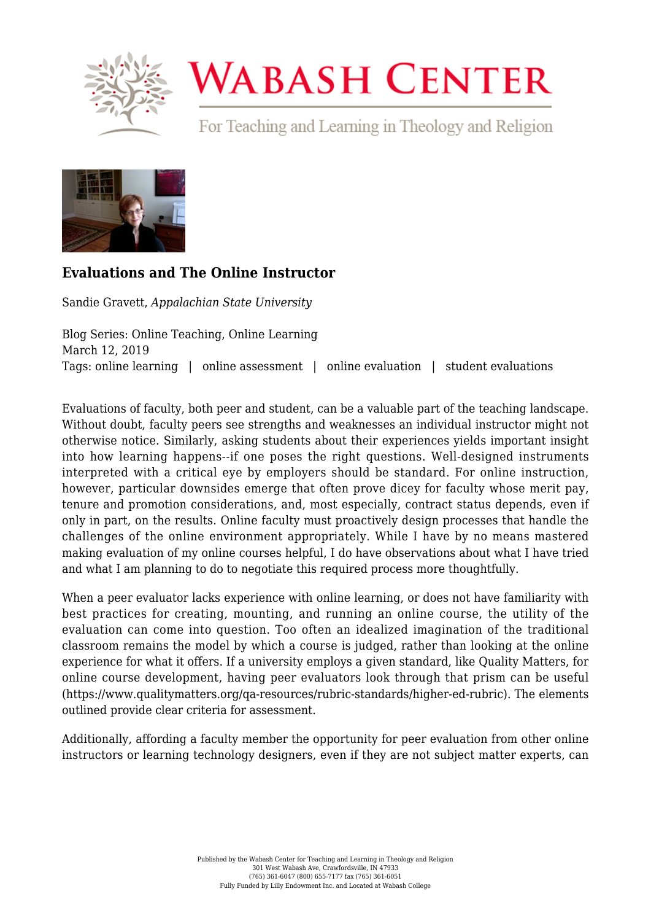

## **WABASH CENTER**

For Teaching and Learning in Theology and Religion



## **[Evaluations and The Online Instructor](https://www.wabashcenter.wabash.edu/2019/03/evaluations-and-the-online-instructor/)**

Sandie Gravett, *Appalachian State University*

Blog Series: Online Teaching, Online Learning March 12, 2019 Tags: online learning | online assessment | online evaluation | student evaluations

Evaluations of faculty, both peer and student, can be a valuable part of the teaching landscape. Without doubt, faculty peers see strengths and weaknesses an individual instructor might not otherwise notice. Similarly, asking students about their experiences yields important insight into how learning happens--if one poses the right questions. Well-designed instruments interpreted with a critical eye by employers should be standard. For online instruction, however, particular downsides emerge that often prove dicey for faculty whose merit pay, tenure and promotion considerations, and, most especially, contract status depends, even if only in part, on the results. Online faculty must proactively design processes that handle the challenges of the online environment appropriately. While I have by no means mastered making evaluation of my online courses helpful, I do have observations about what I have tried and what I am planning to do to negotiate this required process more thoughtfully.

When a peer evaluator lacks experience with online learning, or does not have familiarity with best practices for creating, mounting, and running an online course, the utility of the evaluation can come into question. Too often an idealized imagination of the traditional classroom remains the model by which a course is judged, rather than looking at the online experience for what it offers. If a university employs a given standard, like Quality Matters, for online course development, having peer evaluators look through that prism can be useful ([https://www.qualitymatters.org/qa-resources/rubric-standards/higher-ed-rubric\)](https://www.qualitymatters.org/qa-resources/rubric-standards/higher-ed-rubric). The elements outlined provide clear criteria for assessment.

Additionally, affording a faculty member the opportunity for peer evaluation from other online instructors or learning technology designers, even if they are not subject matter experts, can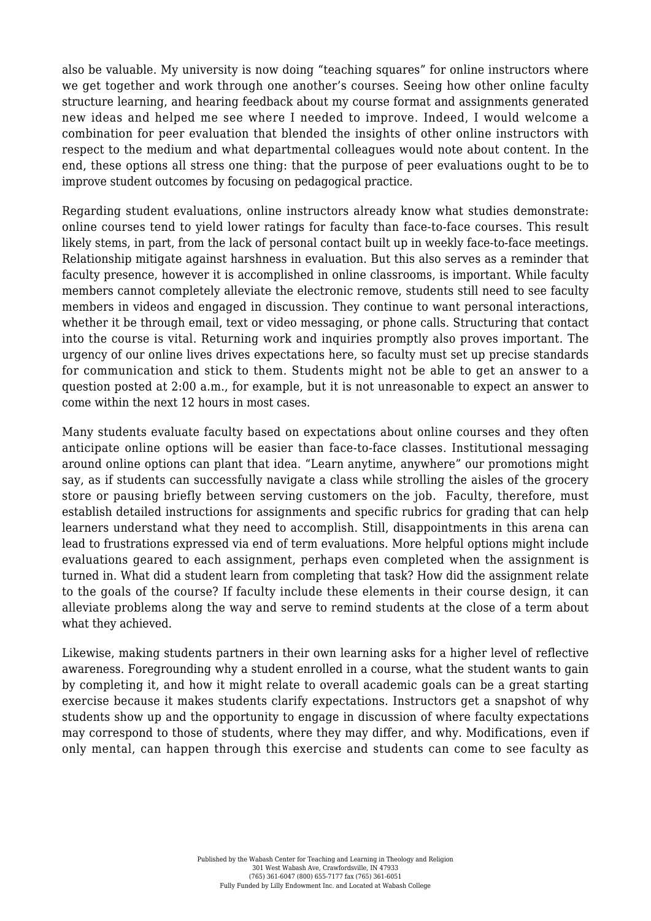also be valuable. My university is now doing "teaching squares" for online instructors where we get together and work through one another's courses. Seeing how other online faculty structure learning, and hearing feedback about my course format and assignments generated new ideas and helped me see where I needed to improve. Indeed, I would welcome a combination for peer evaluation that blended the insights of other online instructors with respect to the medium and what departmental colleagues would note about content. In the end, these options all stress one thing: that the purpose of peer evaluations ought to be to improve student outcomes by focusing on pedagogical practice.

Regarding student evaluations, online instructors already know what studies demonstrate: online courses tend to yield lower ratings for faculty than face-to-face courses. This result likely stems, in part, from the lack of personal contact built up in weekly face-to-face meetings. Relationship mitigate against harshness in evaluation. But this also serves as a reminder that faculty presence, however it is accomplished in online classrooms, is important. While faculty members cannot completely alleviate the electronic remove, students still need to see faculty members in videos and engaged in discussion. They continue to want personal interactions, whether it be through email, text or video messaging, or phone calls. Structuring that contact into the course is vital. Returning work and inquiries promptly also proves important. The urgency of our online lives drives expectations here, so faculty must set up precise standards for communication and stick to them. Students might not be able to get an answer to a question posted at 2:00 a.m., for example, but it is not unreasonable to expect an answer to come within the next 12 hours in most cases.

Many students evaluate faculty based on expectations about online courses and they often anticipate online options will be easier than face-to-face classes. Institutional messaging around online options can plant that idea. "Learn anytime, anywhere" our promotions might say, as if students can successfully navigate a class while strolling the aisles of the grocery store or pausing briefly between serving customers on the job. Faculty, therefore, must establish detailed instructions for assignments and specific rubrics for grading that can help learners understand what they need to accomplish. Still, disappointments in this arena can lead to frustrations expressed via end of term evaluations. More helpful options might include evaluations geared to each assignment, perhaps even completed when the assignment is turned in. What did a student learn from completing that task? How did the assignment relate to the goals of the course? If faculty include these elements in their course design, it can alleviate problems along the way and serve to remind students at the close of a term about what they achieved.

Likewise, making students partners in their own learning asks for a higher level of reflective awareness. Foregrounding why a student enrolled in a course, what the student wants to gain by completing it, and how it might relate to overall academic goals can be a great starting exercise because it makes students clarify expectations. Instructors get a snapshot of why students show up and the opportunity to engage in discussion of where faculty expectations may correspond to those of students, where they may differ, and why. Modifications, even if only mental, can happen through this exercise and students can come to see faculty as